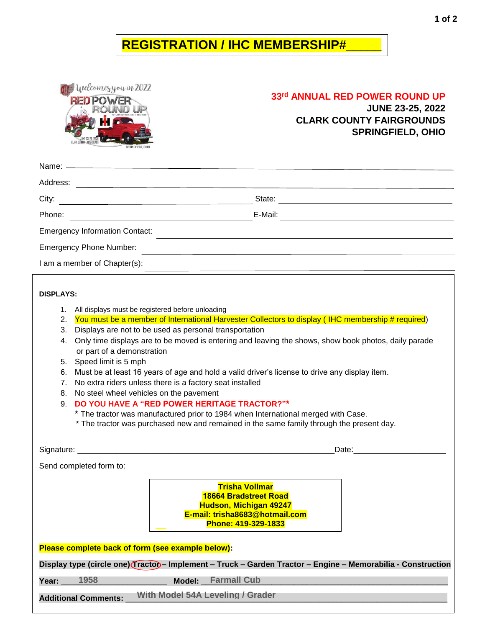## **REGISTRATION / IHC MEMBERSHIP#\_\_\_\_\_**

Welcomesyou in 2022 **RED POWER** 

**#**\_\_\_\_\_\_\_\_\_\_\_\_

## **33rd ANNUAL RED POWER ROUND UP**

**JUNE 23-25, 2022 CLARK COUNTY FAIRGROUNDS SPRINGFIELD, OHIO**

| Address:                              |         |  |
|---------------------------------------|---------|--|
| City:                                 | State:  |  |
| Phone:                                | E-Mail: |  |
| <b>Emergency Information Contact:</b> |         |  |
| <b>Emergency Phone Number:</b>        |         |  |
| I am a member of Chapter(s):          |         |  |
|                                       |         |  |

## **DISPLAYS:**

- 1. All displays must be registered before unloading
- 2. You must be a member of International Harvester Collectors to display (IHC membership # required)
- 3. Displays are not to be used as personal transportation
- 4. Only time displays are to be moved is entering and leaving the shows, show book photos, daily parade or part of a demonstration
- 5. Speed limit is 5 mph
- 6. Must be at least 16 years of age and hold a valid driver's license to drive any display item.
- 7. No extra riders unless there is a factory seat installed
- 8. No steel wheel vehicles on the pavement
- 9. **DO YOU HAVE A "RED POWER HERITAGE TRACTOR?"\***
	- \* The tractor was manufactured prior to 1984 when International merged with Case.
	- \* The tractor was purchased new and remained in the same family through the present day.

Signature: \_\_\_\_\_\_\_\_\_\_\_\_\_\_\_\_\_\_\_\_\_\_\_\_\_\_\_\_\_\_\_\_\_\_\_\_\_\_\_\_\_\_\_\_\_\_\_\_\_\_\_\_\_Date:\_\_\_\_\_\_\_\_\_\_\_\_\_\_\_\_\_\_\_

Send completed form to:

**Trisha Vollmar 18664 Bradstreet Road Hudson, Michigan 49247 E-mail: trisha8683@hotmail.com Phone: 419-329-1833**

**Please complete back of form (see example below):**

**Display type (circle one) Tractor – Implement – Truck – Garden Tractor – Engine – Memorabilia - Construction**

**Year: \_\_\_\_\_\_\_\_\_\_\_\_\_\_\_\_\_\_\_\_\_\_\_\_ Model: \_\_\_\_\_\_\_\_\_\_\_\_\_\_\_\_\_\_\_\_\_\_\_\_\_\_\_\_\_\_\_\_\_\_\_\_\_\_\_\_\_\_\_\_\_\_\_\_\_\_\_\_\_\_\_\_ 1958 Farmall Cub**

**Additional Comments:** \_\_\_\_\_\_\_\_\_\_\_\_\_\_\_\_\_\_\_\_\_\_\_\_\_\_\_\_\_\_\_\_\_\_\_\_\_\_\_\_\_\_\_\_\_\_\_\_\_\_\_\_\_\_\_\_\_\_\_\_\_\_\_\_\_\_\_\_\_\_\_\_\_ **With Model 54A Leveling / Grader** 

**Blade**

**e #**